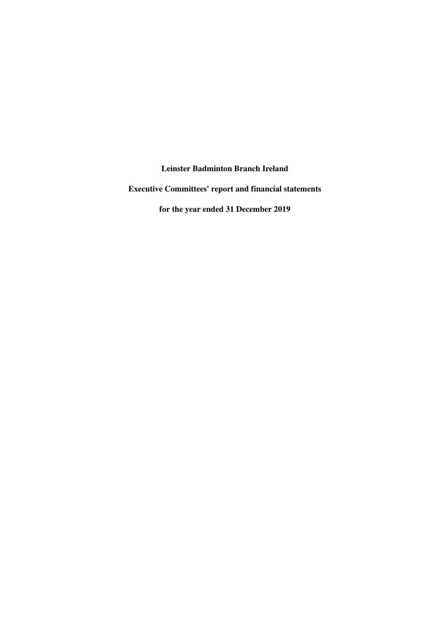**Executive Committees' report and financial statements**

**for the year ended 31 December 2019**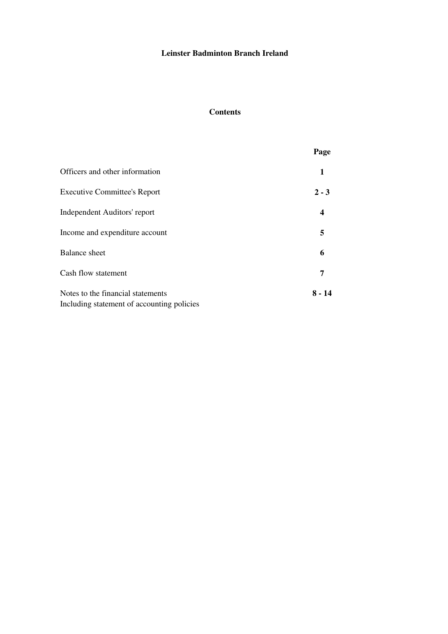## **Contents**

| Page             |
|------------------|
| 1                |
| $2 - 3$          |
| $\boldsymbol{4}$ |
| 5                |
| 6                |
| 7                |
| $8 - 14$         |
|                  |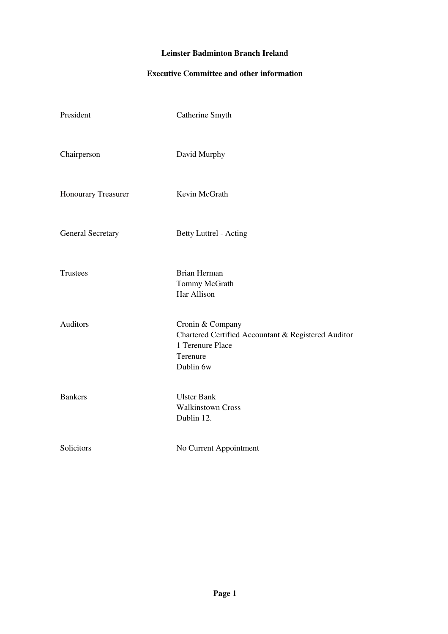## **Executive Committee and other information**

| President                  | Catherine Smyth                                                                                                      |
|----------------------------|----------------------------------------------------------------------------------------------------------------------|
| Chairperson                | David Murphy                                                                                                         |
| <b>Honourary Treasurer</b> | Kevin McGrath                                                                                                        |
| <b>General Secretary</b>   | Betty Luttrel - Acting                                                                                               |
| <b>Trustees</b>            | <b>Brian Herman</b><br>Tommy McGrath<br>Har Allison                                                                  |
| <b>Auditors</b>            | Cronin & Company<br>Chartered Certified Accountant & Registered Auditor<br>1 Terenure Place<br>Terenure<br>Dublin 6w |
| <b>Bankers</b>             | <b>Ulster Bank</b><br><b>Walkinstown Cross</b><br>Dublin 12.                                                         |
| Solicitors                 | No Current Appointment                                                                                               |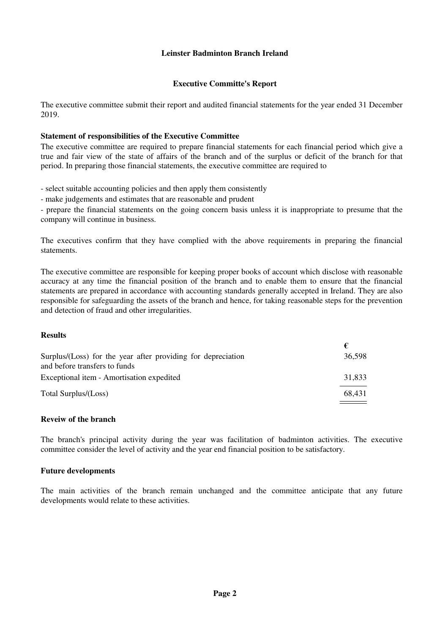#### **Executive Committe's Report**

The executive committee submit their report and audited financial statements for the year ended 31 December 2019.

## **Statement of responsibilities of the Executive Committee**

The executive committee are required to prepare financial statements for each financial period which give a true and fair view of the state of affairs of the branch and of the surplus or deficit of the branch for that period. In preparing those financial statements, the executive committee are required to

- select suitable accounting policies and then apply them consistently

- make judgements and estimates that are reasonable and prudent

- prepare the financial statements on the going concern basis unless it is inappropriate to presume that the company will continue in business.

The executives confirm that they have complied with the above requirements in preparing the financial statements.

The executive committee are responsible for keeping proper books of account which disclose with reasonable accuracy at any time the financial position of the branch and to enable them to ensure that the financial statements are prepared in accordance with accounting standards generally accepted in Ireland. They are also responsible for safeguarding the assets of the branch and hence, for taking reasonable steps for the prevention and detection of fraud and other irregularities.

**€**

#### **Results**

| 36.598 |
|--------|
|        |
| 31,833 |
| 68.431 |
|        |

#### **Reveiw of the branch**

The branch's principal activity during the year was facilitation of badminton activities. The executive committee consider the level of activity and the year end financial position to be satisfactory.

#### **Future developments**

The main activities of the branch remain unchanged and the committee anticipate that any future developments would relate to these activities.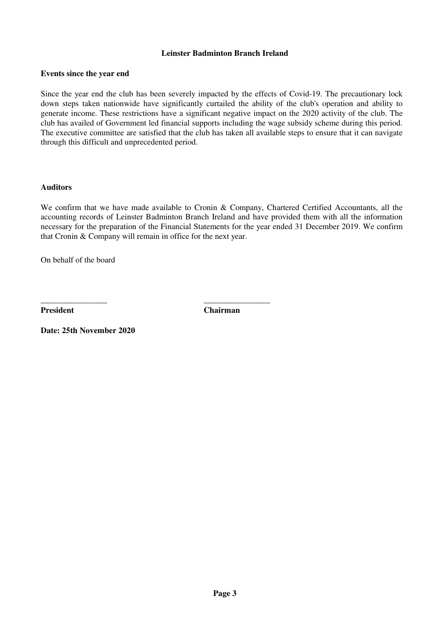#### **Events since the year end**

Since the year end the club has been severely impacted by the effects of Covid-19. The precautionary lock down steps taken nationwide have significantly curtailed the ability of the club's operation and ability to generate income. These restrictions have a significant negative impact on the 2020 activity of the club. The club has availed of Government led financial supports including the wage subsidy scheme during this period. The executive committee are satisfied that the club has taken all available steps to ensure that it can navigate through this difficult and unprecedented period.

#### **Auditors**

We confirm that we have made available to Cronin & Company, Chartered Certified Accountants, all the accounting records of Leinster Badminton Branch Ireland and have provided them with all the information necessary for the preparation of the Financial Statements for the year ended 31 December 2019. We confirm that Cronin & Company will remain in office for the next year.

On behalf of the board

**President Chairman**

**\_\_\_\_\_\_\_\_\_\_\_\_\_\_\_\_ \_\_\_\_\_\_\_\_\_\_\_\_\_\_\_\_**

**Date: 25th November 2020**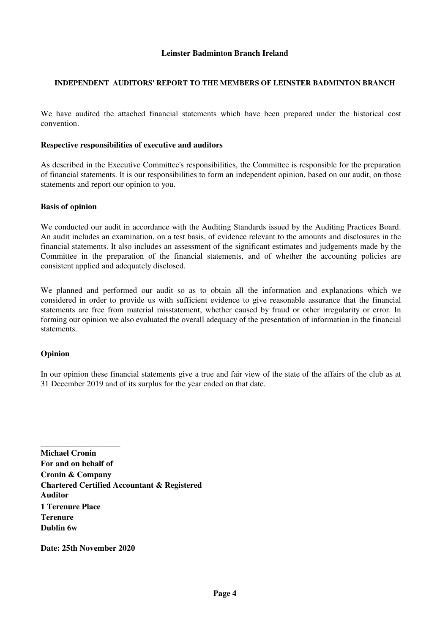#### **INDEPENDENT AUDITORS' REPORT TO THE MEMBERS OF LEINSTER BADMINTON BRANCH**

We have audited the attached financial statements which have been prepared under the historical cost convention.

#### **Respective responsibilities of executive and auditors**

As described in the Executive Committee's responsibilities, the Committee is responsible for the preparation of financial statements. It is our responsibilities to form an independent opinion, based on our audit, on those statements and report our opinion to you.

#### **Basis of opinion**

We conducted our audit in accordance with the Auditing Standards issued by the Auditing Practices Board. An audit includes an examination, on a test basis, of evidence relevant to the amounts and disclosures in the financial statements. It also includes an assessment of the significant estimates and judgements made by the Committee in the preparation of the financial statements, and of whether the accounting policies are consistent applied and adequately disclosed.

We planned and performed our audit so as to obtain all the information and explanations which we considered in order to provide us with sufficient evidence to give reasonable assurance that the financial statements are free from material misstatement, whether caused by fraud or other irregularity or error. In forming our opinion we also evaluated the overall adequacy of the presentation of information in the financial statements.

#### **Opinion**

In our opinion these financial statements give a true and fair view of the state of the affairs of the club as at 31 December 2019 and of its surplus for the year ended on that date.

**Michael Cronin For and on behalf of Cronin & Company Chartered Certified Accountant & Registered Auditor 1 Terenure Place Terenure Dublin 6w**

**Date: 25th November 2020**

\_\_\_\_\_\_\_\_\_\_\_\_\_\_\_\_\_\_\_\_\_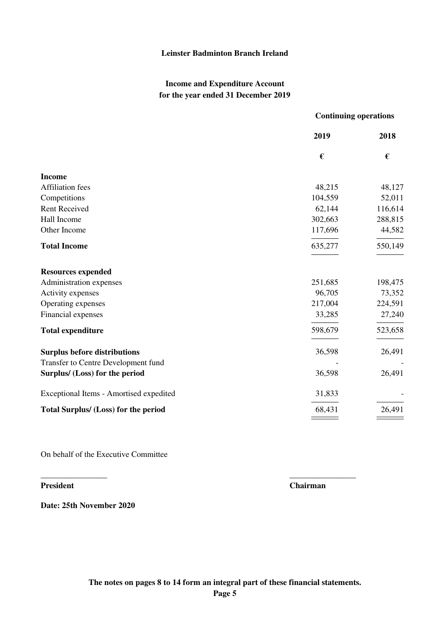## **Income and Expenditure Account for the year ended 31 December 2019**

|                                         | <b>Continuing operations</b> |         |
|-----------------------------------------|------------------------------|---------|
|                                         | 2019                         | 2018    |
|                                         | $\pmb{\epsilon}$             | €       |
| <b>Income</b>                           |                              |         |
| <b>Affiliation</b> fees                 | 48,215                       | 48,127  |
| Competitions                            | 104,559                      | 52,011  |
| <b>Rent Received</b>                    | 62,144                       | 116,614 |
| Hall Income                             | 302,663                      | 288,815 |
| Other Income                            | 117,696                      | 44,582  |
| <b>Total Income</b>                     | 635,277                      | 550,149 |
| <b>Resources expended</b>               |                              |         |
| Administration expenses                 | 251,685                      | 198,475 |
| Activity expenses                       | 96,705                       | 73,352  |
| Operating expenses                      | 217,004                      | 224,591 |
| Financial expenses                      | 33,285                       | 27,240  |
| <b>Total expenditure</b>                | 598,679                      | 523,658 |
| <b>Surplus before distributions</b>     | 36,598                       | 26,491  |
| Transfer to Centre Development fund     |                              |         |
| Surplus/ (Loss) for the period          | 36,598                       | 26,491  |
| Exceptional Items - Amortised expedited | 31,833                       |         |
| Total Surplus/ (Loss) for the period    | 68,431                       | 26,491  |
|                                         |                              |         |

On behalf of the Executive Committee

**President Chairman**

**Date: 25th November 2020**

**\_\_\_\_\_\_\_\_\_\_\_\_\_\_\_\_ \_\_\_\_\_\_\_\_\_\_\_\_\_\_\_\_**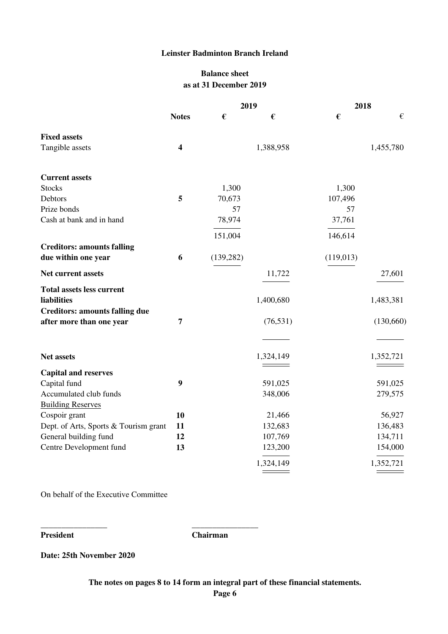## **Balance sheet as at 31 December 2019**

|                                                                |                         | 2019       |                   | 2018      |                    |
|----------------------------------------------------------------|-------------------------|------------|-------------------|-----------|--------------------|
|                                                                | <b>Notes</b>            | €          | €                 | €         | $\epsilon$         |
| <b>Fixed assets</b>                                            |                         |            |                   |           |                    |
| Tangible assets                                                | $\overline{\mathbf{4}}$ |            | 1,388,958         |           | 1,455,780          |
| <b>Current assets</b>                                          |                         |            |                   |           |                    |
| <b>Stocks</b>                                                  |                         | 1,300      |                   | 1,300     |                    |
| Debtors                                                        | 5                       | 70,673     |                   | 107,496   |                    |
| Prize bonds                                                    |                         | 57         |                   | 57        |                    |
| Cash at bank and in hand                                       |                         | 78,974     |                   | 37,761    |                    |
|                                                                |                         | 151,004    |                   | 146,614   |                    |
| <b>Creditors: amounts falling</b>                              |                         |            |                   |           |                    |
| due within one year                                            | 6                       | (139, 282) |                   | (119,013) |                    |
| Net current assets                                             |                         |            | 11,722            |           | 27,601             |
| <b>Total assets less current</b>                               |                         |            |                   |           |                    |
| liabilities                                                    |                         |            | 1,400,680         |           | 1,483,381          |
| <b>Creditors: amounts falling due</b>                          |                         |            |                   |           |                    |
| after more than one year                                       | 7                       |            | (76, 531)         |           | (130,660)          |
|                                                                |                         |            |                   |           |                    |
| <b>Net assets</b>                                              |                         |            | 1,324,149         |           | 1,352,721          |
| <b>Capital and reserves</b>                                    |                         |            |                   |           |                    |
| Capital fund                                                   | 9                       |            | 591,025           |           | 591,025            |
| Accumulated club funds                                         |                         |            | 348,006           |           | 279,575            |
|                                                                |                         |            |                   |           |                    |
| <b>Building Reserves</b>                                       | 10                      |            |                   |           |                    |
| Cospoir grant                                                  | 11                      |            | 21,466<br>132,683 |           | 56,927             |
| Dept. of Arts, Sports & Tourism grant<br>General building fund | 12                      |            | 107,769           |           | 136,483            |
| Centre Development fund                                        | 13                      |            | 123,200           |           | 134,711<br>154,000 |
|                                                                |                         |            |                   |           |                    |
|                                                                |                         |            | 1,324,149         |           | 1,352,721          |

On behalf of the Executive Committee

**\_\_\_\_\_\_\_\_\_\_\_\_\_\_\_\_ \_\_\_\_\_\_\_\_\_\_\_\_\_\_\_\_**

**President Chairman**

**Date: 25th November 2020**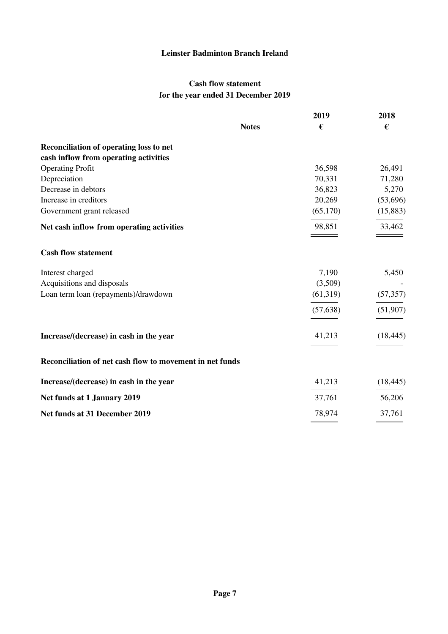## **Cash flow statement for the year ended 31 December 2019**

|                                                          |              | 2019      | 2018      |
|----------------------------------------------------------|--------------|-----------|-----------|
|                                                          | <b>Notes</b> | €         | €         |
| Reconciliation of operating loss to net                  |              |           |           |
| cash inflow from operating activities                    |              |           |           |
| <b>Operating Profit</b>                                  |              | 36,598    | 26,491    |
| Depreciation                                             |              | 70,331    | 71,280    |
| Decrease in debtors                                      |              | 36,823    | 5,270     |
| Increase in creditors                                    |              | 20,269    | (53,696)  |
| Government grant released                                |              | (65,170)  | (15, 883) |
| Net cash inflow from operating activities                |              | 98,851    | 33,462    |
| <b>Cash flow statement</b>                               |              |           |           |
| Interest charged                                         |              | 7,190     | 5,450     |
| Acquisitions and disposals                               |              | (3,509)   |           |
| Loan term loan (repayments)/drawdown                     |              | (61,319)  | (57, 357) |
|                                                          |              | (57, 638) | (51,907)  |
| Increase/(decrease) in cash in the year                  |              | 41,213    | (18, 445) |
| Reconciliation of net cash flow to movement in net funds |              |           |           |
| Increase/(decrease) in cash in the year                  |              | 41,213    | (18, 445) |
| Net funds at 1 January 2019                              |              | 37,761    | 56,206    |
| Net funds at 31 December 2019                            |              | 78,974    | 37,761    |
|                                                          |              |           |           |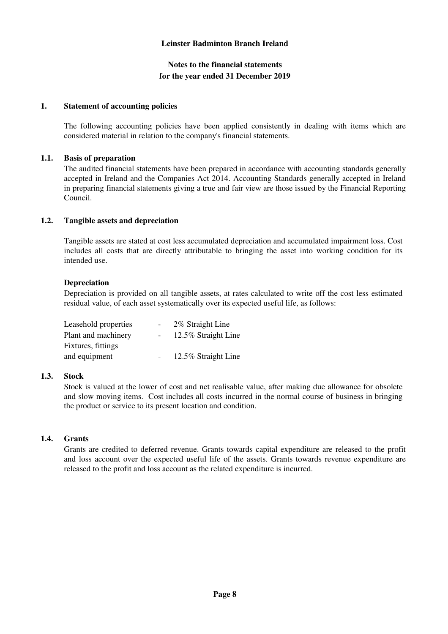## **Notes to the financial statements for the year ended 31 December 2019**

#### **1. Statement of accounting policies**

The following accounting policies have been applied consistently in dealing with items which are considered material in relation to the company's financial statements.

## **1.1. Basis of preparation**

The audited financial statements have been prepared in accordance with accounting standards generally accepted in Ireland and the Companies Act 2014. Accounting Standards generally accepted in Ireland in preparing financial statements giving a true and fair view are those issued by the Financial Reporting Council.

## **1.2. Tangible assets and depreciation**

Tangible assets are stated at cost less accumulated depreciation and accumulated impairment loss. Cost includes all costs that are directly attributable to bringing the asset into working condition for its intended use.

## **Depreciation**

Depreciation is provided on all tangible assets, at rates calculated to write off the cost less estimated residual value, of each asset systematically over its expected useful life, as follows:

| Leasehold properties | $\overline{\phantom{0}}$ | 2% Straight Line    |
|----------------------|--------------------------|---------------------|
| Plant and machinery  |                          | 12.5% Straight Line |
| Fixtures, fittings   |                          |                     |
| and equipment        |                          | 12.5% Straight Line |

## **1.3. Stock**

Stock is valued at the lower of cost and net realisable value, after making due allowance for obsolete and slow moving items. Cost includes all costs incurred in the normal course of business in bringing the product or service to its present location and condition.

### **1.4. Grants**

Grants are credited to deferred revenue. Grants towards capital expenditure are released to the profit and loss account over the expected useful life of the assets. Grants towards revenue expenditure are released to the profit and loss account as the related expenditure is incurred.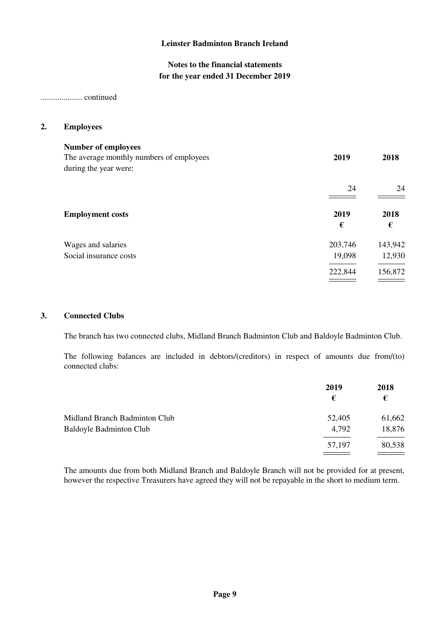## **Notes to the financial statements for the year ended 31 December 2019**

#### .................... continued

#### **2. Employees**

| <b>Number of employees</b><br>The average monthly numbers of employees<br>during the year were: | 2019      | 2018      |
|-------------------------------------------------------------------------------------------------|-----------|-----------|
|                                                                                                 | 24        | 24        |
| <b>Employment costs</b>                                                                         | 2019<br>€ | 2018<br>€ |
| Wages and salaries                                                                              | 203,746   | 143,942   |
| Social insurance costs                                                                          | 19,098    | 12,930    |
|                                                                                                 | 222,844   | 156,872   |
|                                                                                                 |           |           |

#### **3. Connected Clubs**

The branch has two connected clubs, Midland Branch Badminton Club and Baldoyle Badminton Club.

The following balances are included in debtors/(creditors) in respect of amounts due from/(to) connected clubs:

|                                | 2019   | 2018   |
|--------------------------------|--------|--------|
|                                | €      | €      |
| Midland Branch Badminton Club  | 52,405 | 61,662 |
| <b>Baldoyle Badminton Club</b> | 4,792  | 18,876 |
|                                | 57,197 | 80,538 |
|                                |        |        |

The amounts due from both Midland Branch and Baldoyle Branch will not be provided for at present, however the respective Treasurers have agreed they will not be repayable in the short to medium term.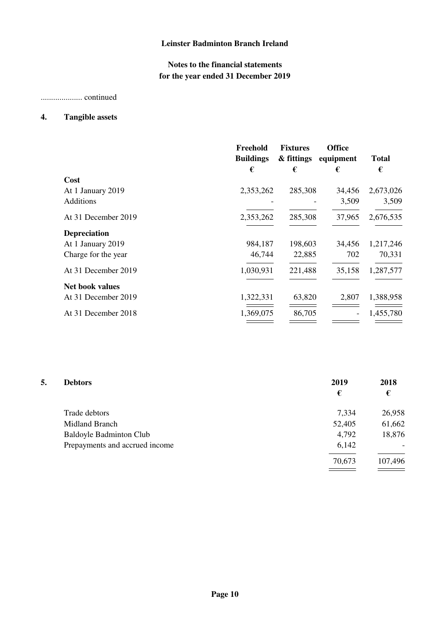# **Notes to the financial statements for the year ended 31 December 2019**

.................... continued

# **4. Tangible assets**

|                        | Freehold<br><b>Buildings</b> | <b>Fixtures</b><br>& fittings | <b>Office</b><br>equipment | <b>Total</b> |
|------------------------|------------------------------|-------------------------------|----------------------------|--------------|
|                        | €                            | €                             | €                          | €            |
| Cost                   |                              |                               |                            |              |
| At 1 January 2019      | 2,353,262                    | 285,308                       | 34,456                     | 2,673,026    |
| <b>Additions</b>       |                              |                               | 3,509                      | 3,509        |
| At 31 December 2019    | 2,353,262                    | 285,308                       | 37,965                     | 2,676,535    |
| <b>Depreciation</b>    |                              |                               |                            |              |
| At 1 January 2019      | 984,187                      | 198,603                       | 34,456                     | 1,217,246    |
| Charge for the year    | 46,744                       | 22,885                        | 702                        | 70,331       |
| At 31 December 2019    | 1,030,931                    | 221,488                       | 35,158                     | 1,287,577    |
| <b>Net book values</b> |                              |                               |                            |              |
| At 31 December 2019    | 1,322,331                    | 63,820                        | 2,807                      | 1,388,958    |
| At 31 December 2018    | 1,369,075                    | 86,705                        |                            | 1,455,780    |
|                        |                              |                               |                            |              |

| 5. | <b>Debtors</b>                 | 2019   | 2018    |
|----|--------------------------------|--------|---------|
|    |                                | €      | €       |
|    | Trade debtors                  | 7,334  | 26,958  |
|    | Midland Branch                 | 52,405 | 61,662  |
|    | <b>Baldoyle Badminton Club</b> | 4,792  | 18,876  |
|    | Prepayments and accrued income | 6,142  |         |
|    |                                | 70,673 | 107,496 |
|    |                                |        |         |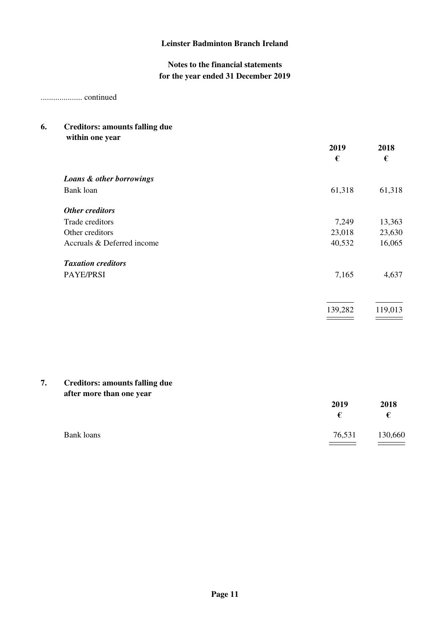# **Notes to the financial statements for the year ended 31 December 2019**

.................... continued

#### **6. Creditors: amounts falling due within one year**

| WILLIIII VIIE YEAL         | 2019<br>€ | 2018<br>€ |
|----------------------------|-----------|-----------|
| Loans & other borrowings   |           |           |
| Bank loan                  | 61,318    | 61,318    |
| Other creditors            |           |           |
| Trade creditors            | 7,249     | 13,363    |
| Other creditors            | 23,018    | 23,630    |
| Accruals & Deferred income | 40,532    | 16,065    |
| <b>Taxation creditors</b>  |           |           |
| PAYE/PRSI                  | 7,165     | 4,637     |
|                            |           |           |
|                            | 139,282   | 119,013   |
|                            |           |           |

#### **7. Creditors: amounts falling due after more than one year**

| arter more than one year | 2019<br>€ | 2018<br>€              |
|--------------------------|-----------|------------------------|
| Bank loans               | 76,531    | 130,660<br>$\, = \, -$ |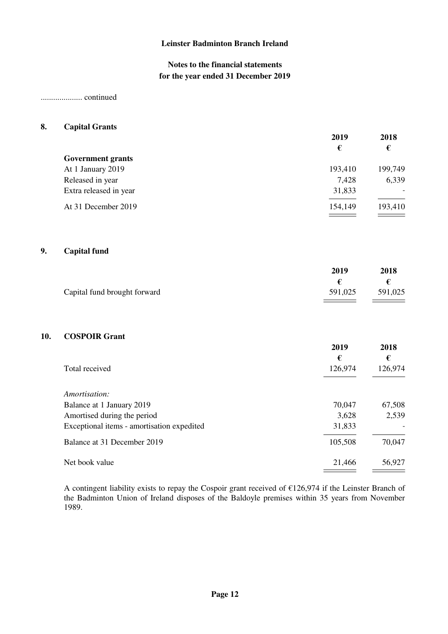## **Notes to the financial statements for the year ended 31 December 2019**

## .................... continued

#### **8. Capital Grants**

|                          | 2019    | 2018           |
|--------------------------|---------|----------------|
|                          | €       | €              |
| <b>Government grants</b> |         |                |
| At 1 January 2019        | 193,410 | 199,749        |
| Released in year         | 7,428   | 6,339          |
| Extra released in year   | 31,833  | $\blacksquare$ |
| At 31 December 2019      | 154,149 | 193,410        |
|                          |         |                |

## **9. Capital fund**

|                              | 2019    | 2018    |
|------------------------------|---------|---------|
|                              |         |         |
| Capital fund brought forward | 591,025 | 591,025 |

## **10. COSPOIR Grant**

|                                            | 2019<br>€ | 2018<br>€ |
|--------------------------------------------|-----------|-----------|
| Total received                             | 126,974   | 126,974   |
| Amortisation:                              |           |           |
| Balance at 1 January 2019                  | 70,047    | 67,508    |
| Amortised during the period                | 3,628     | 2,539     |
| Exceptional items - amortisation expedited | 31,833    |           |
| Balance at 31 December 2019                | 105,508   | 70,047    |
| Net book value                             | 21,466    | 56,927    |

A contingent liability exists to repay the Cospoir grant received of €126,974 if the Leinster Branch of the Badminton Union of Ireland disposes of the Baldoyle premises within 35 years from November 1989.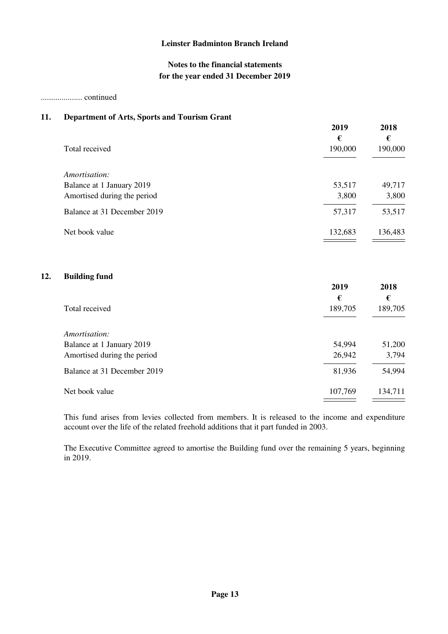## **Notes to the financial statements for the year ended 31 December 2019**

#### .................... continued

**12.** 

## **11. Department of Arts, Sports and Tourism Grant**

|                             | 2019<br>€ | 2018<br>€ |
|-----------------------------|-----------|-----------|
| Total received              | 190,000   | 190,000   |
| Amortisation:               |           |           |
| Balance at 1 January 2019   | 53,517    | 49,717    |
| Amortised during the period | 3,800     | 3,800     |
| Balance at 31 December 2019 | 57,317    | 53,517    |
| Net book value              | 132,683   | 136,483   |
| <b>Building fund</b>        | 2019      | 2018      |
|                             | €         | €         |
| Total received              | 189,705   | 189,705   |
| Amortisation:               |           |           |
| Balance at 1 January 2019   | 54,994    | 51,200    |
| Amortised during the period | 26,942    | 3,794     |
| Balance at 31 December 2019 | 81,936    | 54,994    |
| Net book value              | 107,769   | 134,711   |

This fund arises from levies collected from members. It is released to the income and expenditure account over the life of the related freehold additions that it part funded in 2003.

The Executive Committee agreed to amortise the Building fund over the remaining 5 years, beginning in 2019.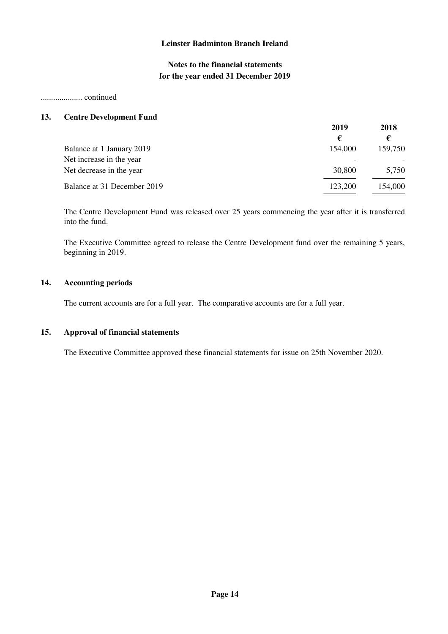# **Notes to the financial statements for the year ended 31 December 2019**

#### .................... continued

#### **13. Centre Development Fund**

|                             | 2019    | 2018    |
|-----------------------------|---------|---------|
|                             | €       |         |
| Balance at 1 January 2019   | 154,000 | 159,750 |
| Net increase in the year    |         |         |
| Net decrease in the year    | 30,800  | 5,750   |
| Balance at 31 December 2019 | 123,200 | 154,000 |

The Centre Development Fund was released over 25 years commencing the year after it is transferred into the fund.

The Executive Committee agreed to release the Centre Development fund over the remaining 5 years, beginning in 2019.

#### **14. Accounting periods**

The current accounts are for a full year. The comparative accounts are for a full year.

#### **15. Approval of financial statements**

The Executive Committee approved these financial statements for issue on 25th November 2020.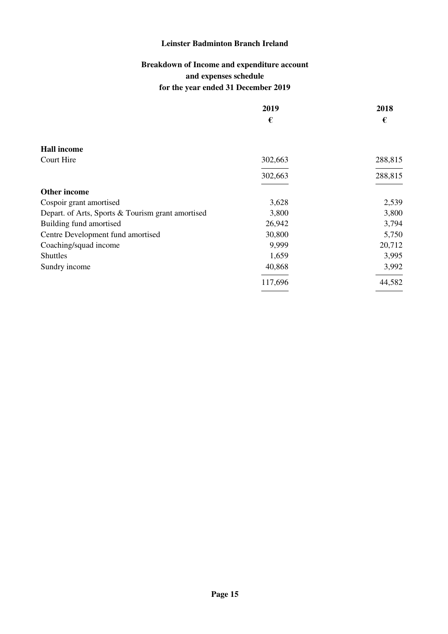# **Breakdown of Income and expenditure account and expenses schedule for the year ended 31 December 2019**

|                                                   | 2019    | 2018    |
|---------------------------------------------------|---------|---------|
|                                                   | €       | €       |
| <b>Hall income</b>                                |         |         |
| Court Hire                                        | 302,663 | 288,815 |
|                                                   | 302,663 | 288,815 |
| <b>Other income</b>                               |         |         |
| Cospoir grant amortised                           | 3,628   | 2,539   |
| Depart. of Arts, Sports & Tourism grant amortised | 3,800   | 3,800   |
| Building fund amortised                           | 26,942  | 3,794   |
| Centre Development fund amortised                 | 30,800  | 5,750   |
| Coaching/squad income                             | 9,999   | 20,712  |
| <b>Shuttles</b>                                   | 1,659   | 3,995   |
| Sundry income                                     | 40,868  | 3,992   |
|                                                   | 117,696 | 44,582  |